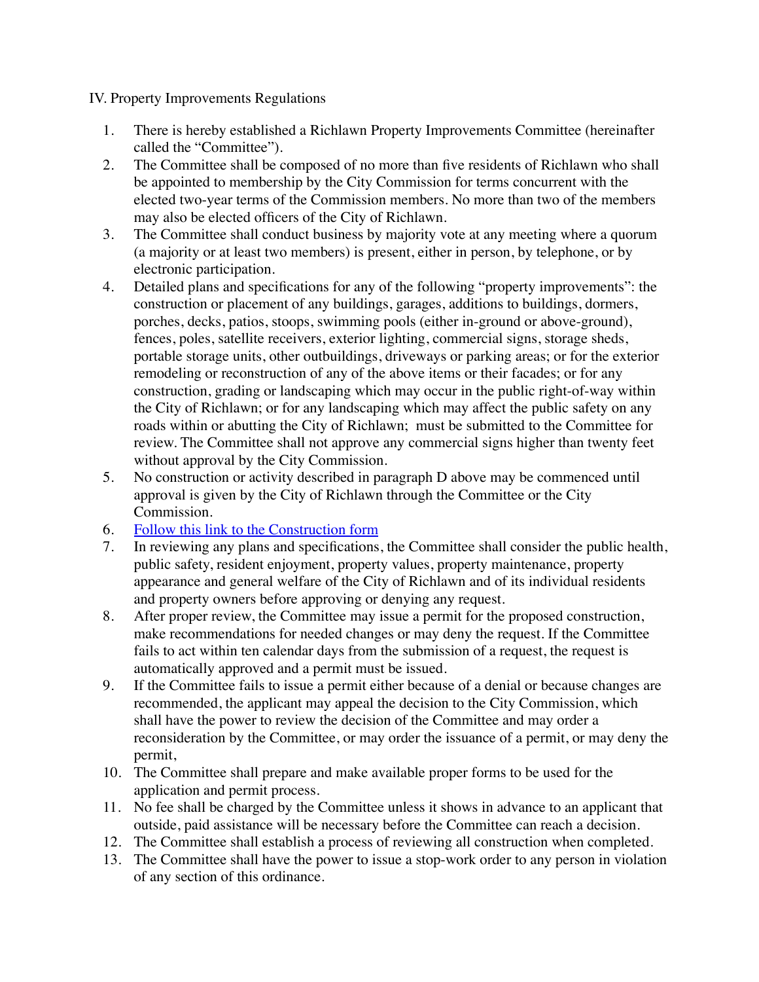IV. Property Improvements Regulations

- 1. There is hereby established a Richlawn Property Improvements Committee (hereinafter called the "Committee").
- 2. The Committee shall be composed of no more than five residents of Richlawn who shall be appointed to membership by the City Commission for terms concurrent with the elected two-year terms of the Commission members. No more than two of the members may also be elected officers of the City of Richlawn.
- 3. The Committee shall conduct business by majority vote at any meeting where a quorum (a majority or at least two members) is present, either in person, by telephone, or by electronic participation.
- 4. Detailed plans and specifications for any of the following "property improvements": the construction or placement of any buildings, garages, additions to buildings, dormers, porches, decks, patios, stoops, swimming pools (either in-ground or above-ground), fences, poles, satellite receivers, exterior lighting, commercial signs, storage sheds, portable storage units, other outbuildings, driveways or parking areas; or for the exterior remodeling or reconstruction of any of the above items or their facades; or for any construction, grading or landscaping which may occur in the public right-of-way within the City of Richlawn; or for any landscaping which may affect the public safety on any roads within or abutting the City of Richlawn; must be submitted to the Committee for review. The Committee shall not approve any commercial signs higher than twenty feet without approval by the City Commission.
- 5. No construction or activity described in paragraph D above may be commenced until approval is given by the City of Richlawn through the Committee or the City Commission.
- 6. [Follow this link to the Construction form](http://www.cityofrichlawn.com/resources/)
- 7. In reviewing any plans and specifications, the Committee shall consider the public health, public safety, resident enjoyment, property values, property maintenance, property appearance and general welfare of the City of Richlawn and of its individual residents and property owners before approving or denying any request.
- 8. After proper review, the Committee may issue a permit for the proposed construction, make recommendations for needed changes or may deny the request. If the Committee fails to act within ten calendar days from the submission of a request, the request is automatically approved and a permit must be issued.
- 9. If the Committee fails to issue a permit either because of a denial or because changes are recommended, the applicant may appeal the decision to the City Commission, which shall have the power to review the decision of the Committee and may order a reconsideration by the Committee, or may order the issuance of a permit, or may deny the permit,
- 10. The Committee shall prepare and make available proper forms to be used for the application and permit process.
- 11. No fee shall be charged by the Committee unless it shows in advance to an applicant that outside, paid assistance will be necessary before the Committee can reach a decision.
- 12. The Committee shall establish a process of reviewing all construction when completed.
- 13. The Committee shall have the power to issue a stop-work order to any person in violation of any section of this ordinance.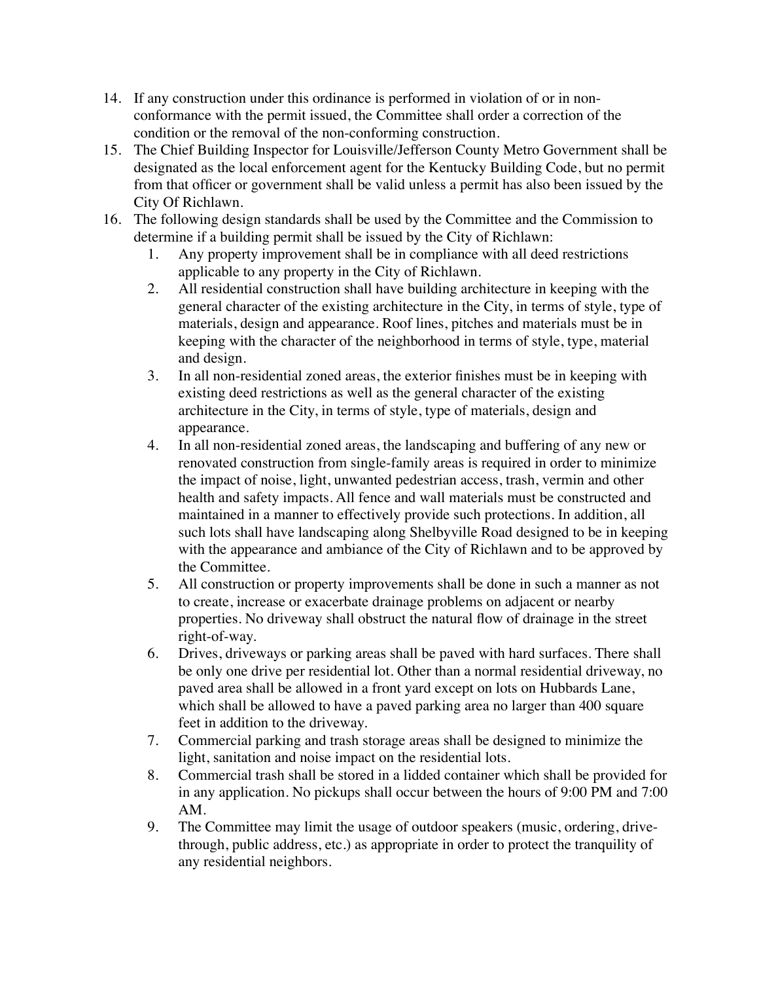- 14. If any construction under this ordinance is performed in violation of or in nonconformance with the permit issued, the Committee shall order a correction of the condition or the removal of the non-conforming construction.
- 15. The Chief Building Inspector for Louisville/Jefferson County Metro Government shall be designated as the local enforcement agent for the Kentucky Building Code, but no permit from that officer or government shall be valid unless a permit has also been issued by the City Of Richlawn.
- 16. The following design standards shall be used by the Committee and the Commission to determine if a building permit shall be issued by the City of Richlawn:
	- 1. Any property improvement shall be in compliance with all deed restrictions applicable to any property in the City of Richlawn.
	- 2. All residential construction shall have building architecture in keeping with the general character of the existing architecture in the City, in terms of style, type of materials, design and appearance. Roof lines, pitches and materials must be in keeping with the character of the neighborhood in terms of style, type, material and design.
	- 3. In all non-residential zoned areas, the exterior finishes must be in keeping with existing deed restrictions as well as the general character of the existing architecture in the City, in terms of style, type of materials, design and appearance.
	- 4. In all non-residential zoned areas, the landscaping and buffering of any new or renovated construction from single-family areas is required in order to minimize the impact of noise, light, unwanted pedestrian access, trash, vermin and other health and safety impacts. All fence and wall materials must be constructed and maintained in a manner to effectively provide such protections. In addition, all such lots shall have landscaping along Shelbyville Road designed to be in keeping with the appearance and ambiance of the City of Richlawn and to be approved by the Committee.
	- 5. All construction or property improvements shall be done in such a manner as not to create, increase or exacerbate drainage problems on adjacent or nearby properties. No driveway shall obstruct the natural flow of drainage in the street right-of-way.
	- 6. Drives, driveways or parking areas shall be paved with hard surfaces. There shall be only one drive per residential lot. Other than a normal residential driveway, no paved area shall be allowed in a front yard except on lots on Hubbards Lane, which shall be allowed to have a paved parking area no larger than 400 square feet in addition to the driveway.
	- 7. Commercial parking and trash storage areas shall be designed to minimize the light, sanitation and noise impact on the residential lots.
	- 8. Commercial trash shall be stored in a lidded container which shall be provided for in any application. No pickups shall occur between the hours of 9:00 PM and 7:00 AM.
	- 9. The Committee may limit the usage of outdoor speakers (music, ordering, drivethrough, public address, etc.) as appropriate in order to protect the tranquility of any residential neighbors.